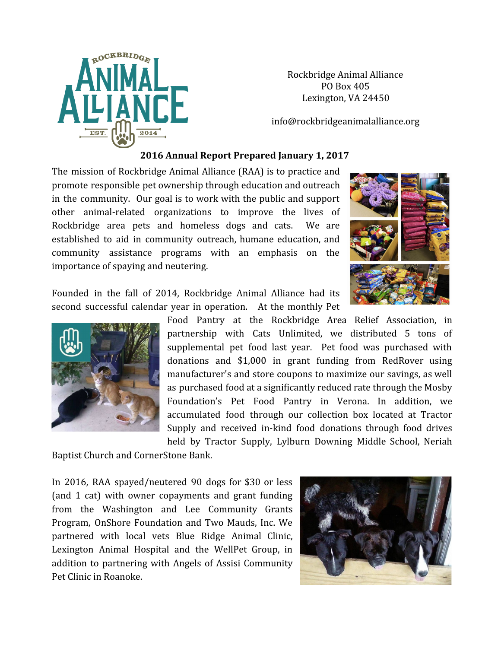

 Rockbridge Animal Alliance PO Box 405 Lexington, VA 24450

info@rockbridgeanimalalliance.org

## **2016 Annual Report Prepared January 1, 2017**

The mission of Rockbridge Animal Alliance (RAA) is to practice and promote responsible pet ownership through education and outreach in the community. Our goal is to work with the public and support other animal-related organizations to improve the lives of Rockbridge area pets and homeless dogs and cats. We are established to aid in community outreach, humane education, and community assistance programs with an emphasis on the importance of spaying and neutering.



Founded in the fall of 2014, Rockbridge Animal Alliance had its second successful calendar year in operation. At the monthly Pet



Baptist Church and CornerStone Bank.

In 2016, RAA spayed/neutered 90 dogs for \$30 or less (and 1 cat) with owner copayments and grant funding from the Washington and Lee Community Grants Program, OnShore Foundation and Two Mauds, Inc. We partnered with local vets Blue Ridge Animal Clinic, Lexington Animal Hospital and the WellPet Group, in addition to partnering with Angels of Assisi Community Pet Clinic in Roanoke.